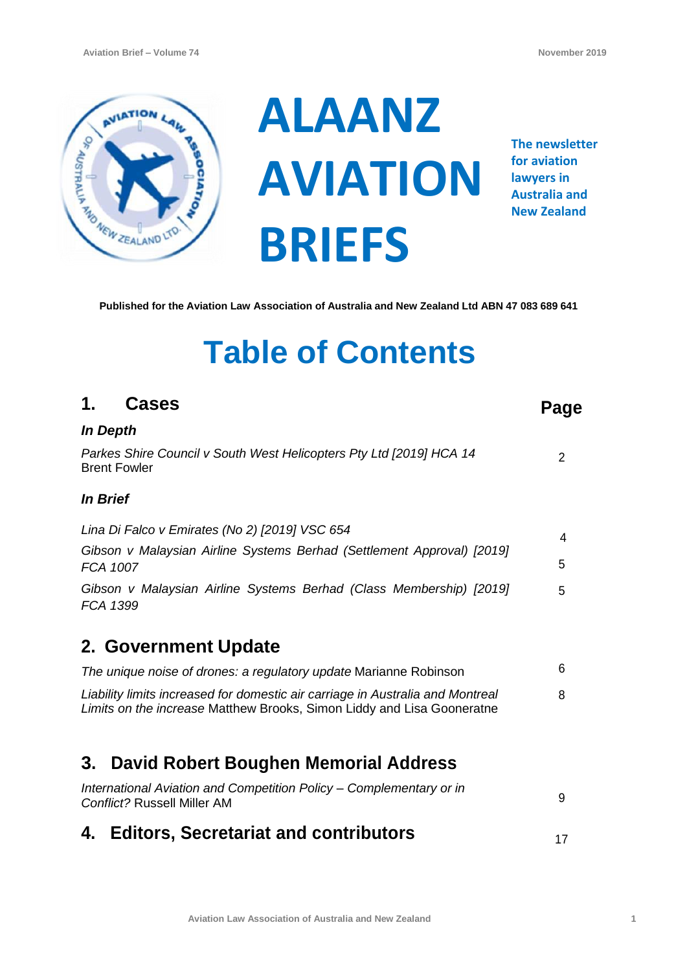

**ALAANZ AVIATION BRIEFS**

**The newsletter for aviation lawyers in Australia and New Zealand**

**Page**

**Published for the Aviation Law Association of Australia and New Zealand Ltd ABN 47 083 689 641**

# **Table of Contents**

### **1. Cases**

*FCA 1399*

| In Depth                                                                                   |   |
|--------------------------------------------------------------------------------------------|---|
| Parkes Shire Council v South West Helicopters Pty Ltd [2019] HCA 14<br><b>Brent Fowler</b> |   |
| <i>In Brief</i>                                                                            |   |
| Lina Di Falco v Emirates (No 2) [2019] VSC 654                                             | 4 |
| Gibson v Malaysian Airline Systems Berhad (Settlement Approval) [2019]                     |   |
| FCA 1007                                                                                   |   |
| Gibson v Malaysian Airline Systems Berhad (Class Membership) [2019]                        | 5 |

## **2. Government Update**

| The unique noise of drones: a regulatory update Marianne Robinson                                                                                        | 6 |
|----------------------------------------------------------------------------------------------------------------------------------------------------------|---|
| Liability limits increased for domestic air carriage in Australia and Montreal<br>Limits on the increase Matthew Brooks, Simon Liddy and Lisa Gooneratne | 8 |

## **3. David Robert Boughen Memorial Address**

| International Aviation and Competition Policy – Complementary or in<br>Conflict? Russell Miller AM |  |
|----------------------------------------------------------------------------------------------------|--|
| 4. Editors, Secretariat and contributors                                                           |  |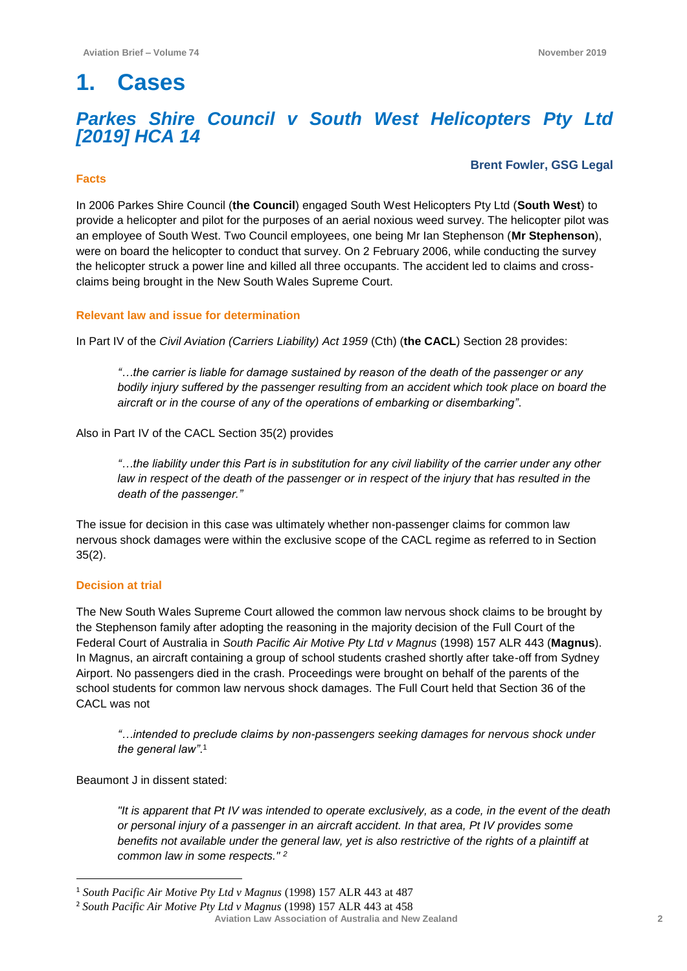## **1. Cases**

## *Parkes Shire Council v South West Helicopters Pty Ltd [2019] HCA 14*

#### **Brent Fowler, GSG Legal**

#### **Facts**

In 2006 Parkes Shire Council (**the Council**) engaged South West Helicopters Pty Ltd (**South West**) to provide a helicopter and pilot for the purposes of an aerial noxious weed survey. The helicopter pilot was an employee of South West. Two Council employees, one being Mr Ian Stephenson (**Mr Stephenson**), were on board the helicopter to conduct that survey. On 2 February 2006, while conducting the survey the helicopter struck a power line and killed all three occupants. The accident led to claims and crossclaims being brought in the New South Wales Supreme Court.

#### **Relevant law and issue for determination**

In Part IV of the *Civil Aviation (Carriers Liability) Act 1959* (Cth) (**the CACL**) Section 28 provides:

*"…the carrier is liable for damage sustained by reason of the death of the passenger or any bodily injury suffered by the passenger resulting from an accident which took place on board the aircraft or in the course of any of the operations of embarking or disembarking"*.

Also in Part IV of the CACL Section 35(2) provides

*"…the liability under this Part is in substitution for any civil liability of the carrier under any other*  law in respect of the death of the passenger or in respect of the injury that has resulted in the *death of the passenger."*

The issue for decision in this case was ultimately whether non-passenger claims for common law nervous shock damages were within the exclusive scope of the CACL regime as referred to in Section 35(2).

#### **Decision at trial**

The New South Wales Supreme Court allowed the common law nervous shock claims to be brought by the Stephenson family after adopting the reasoning in the majority decision of the Full Court of the Federal Court of Australia in *South Pacific Air Motive Pty Ltd v Magnus* (1998) 157 ALR 443 (**Magnus**). In Magnus, an aircraft containing a group of school students crashed shortly after take-off from Sydney Airport. No passengers died in the crash. Proceedings were brought on behalf of the parents of the school students for common law nervous shock damages. The Full Court held that Section 36 of the CACL was not

*"…intended to preclude claims by non-passengers seeking damages for nervous shock under the general law"*. 1

Beaumont J in dissent stated:

 $\overline{a}$ 

*"It is apparent that Pt IV was intended to operate exclusively, as a code, in the event of the death or personal injury of a passenger in an aircraft accident. In that area, Pt IV provides some benefits not available under the general law, yet is also restrictive of the rights of a plaintiff at common law in some respects." <sup>2</sup>*

<sup>1</sup> *South Pacific Air Motive Pty Ltd v Magnus* (1998) 157 ALR 443 at 487

**Aviation Law Association of Australia and New Zealand <sup>2</sup>** <sup>2</sup> *South Pacific Air Motive Pty Ltd v Magnus* (1998) 157 ALR 443 at 458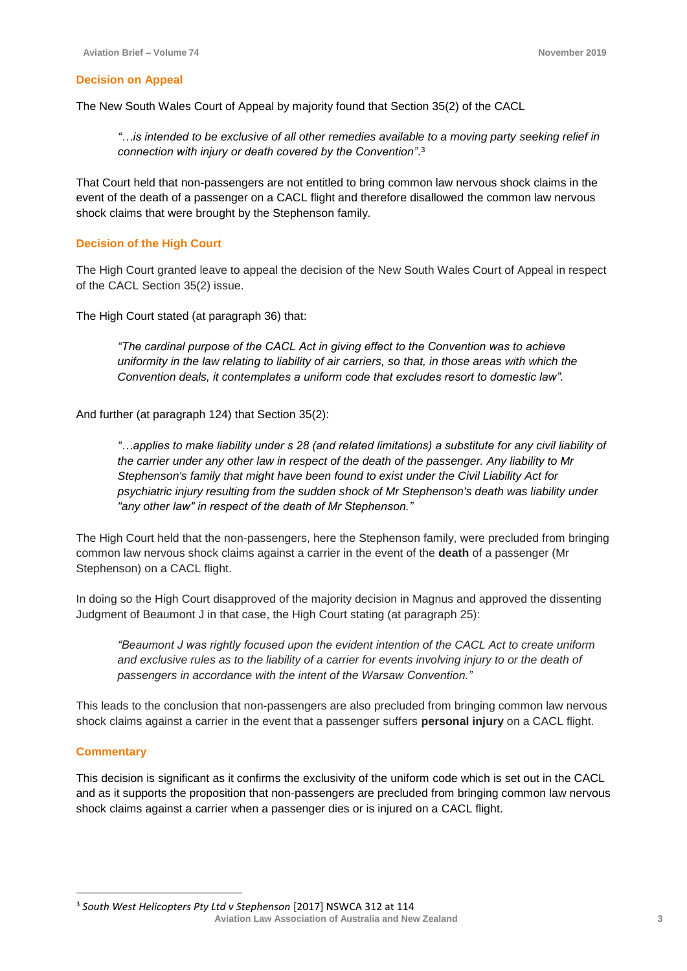#### **Decision on Appeal**

The New South Wales Court of Appeal by majority found that Section 35(2) of the CACL

*"…is intended to be exclusive of all other remedies available to a moving party seeking relief in connection with injury or death covered by the Convention"*. 3

That Court held that non-passengers are not entitled to bring common law nervous shock claims in the event of the death of a passenger on a CACL flight and therefore disallowed the common law nervous shock claims that were brought by the Stephenson family.

#### **Decision of the High Court**

The High Court granted leave to appeal the decision of the New South Wales Court of Appeal in respect of the CACL Section 35(2) issue.

The High Court stated (at paragraph 36) that:

*"The cardinal purpose of the CACL Act in giving effect to the Convention was to achieve uniformity in the law relating to liability of air carriers, so that, in those areas with which the Convention deals, it contemplates a uniform code that excludes resort to domestic law".*

And further (at paragraph 124) that Section 35(2):

*"…applies to make liability under s 28 (and related limitations) a substitute for any civil liability of the carrier under any other law in respect of the death of the passenger. Any liability to Mr Stephenson's family that might have been found to exist under the Civil Liability Act for psychiatric injury resulting from the sudden shock of Mr Stephenson's death was liability under "any other law" in respect of the death of Mr Stephenson."*

The High Court held that the non-passengers, here the Stephenson family, were precluded from bringing common law nervous shock claims against a carrier in the event of the **death** of a passenger (Mr Stephenson) on a CACL flight.

In doing so the High Court disapproved of the majority decision in Magnus and approved the dissenting Judgment of Beaumont J in that case, the High Court stating (at paragraph 25):

*"Beaumont J was rightly focused upon the evident intention of the CACL Act to create uniform and exclusive rules as to the liability of a carrier for events involving injury to or the death of passengers in accordance with the intent of the Warsaw Convention."*

This leads to the conclusion that non-passengers are also precluded from bringing common law nervous shock claims against a carrier in the event that a passenger suffers **personal injury** on a CACL flight.

#### **Commentary**

 $\overline{a}$ 

This decision is significant as it confirms the exclusivity of the uniform code which is set out in the CACL and as it supports the proposition that non-passengers are precluded from bringing common law nervous shock claims against a carrier when a passenger dies or is injured on a CACL flight.

**Aviation Law Association of Australia and New Zealand <sup>3</sup>** 3 *South West Helicopters Pty Ltd v Stephenson* [2017] NSWCA 312 at 114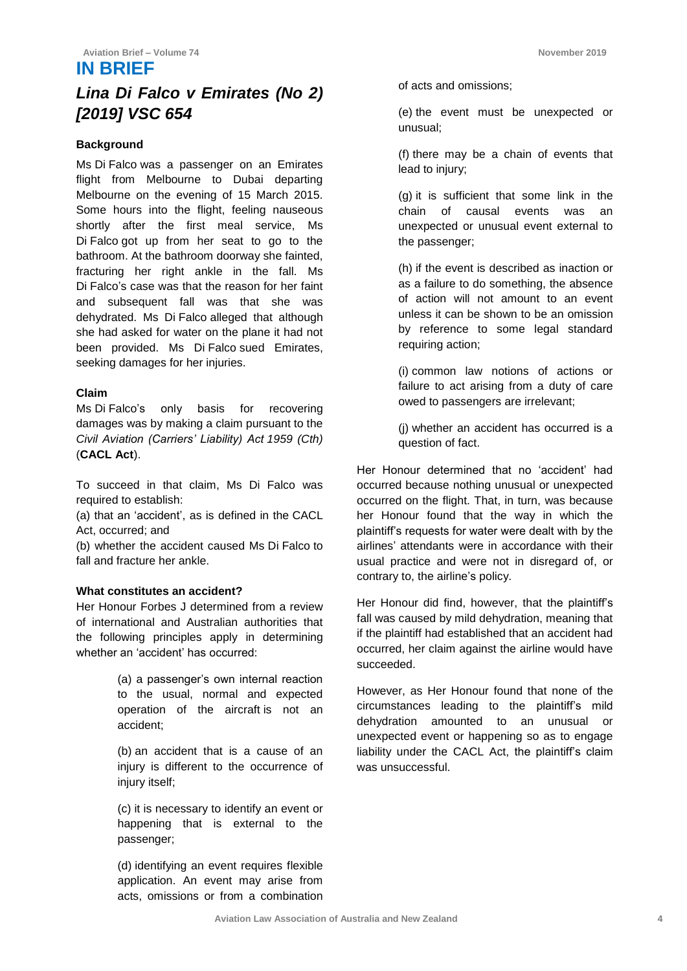#### **IN BRIEF**

## *Lina Di Falco v Emirates (No 2) [2019] VSC 654*

#### **Background**

Ms Di Falco was a passenger on an Emirates flight from Melbourne to Dubai departing Melbourne on the evening of 15 March 2015. Some hours into the flight, feeling nauseous shortly after the first meal service, Ms Di Falco got up from her seat to go to the bathroom. At the bathroom doorway she fainted, fracturing her right ankle in the fall. Ms Di Falco's case was that the reason for her faint and subsequent fall was that she was dehydrated. Ms Di Falco alleged that although she had asked for water on the plane it had not been provided. Ms Di Falco sued Emirates, seeking damages for her injuries.

#### **Claim**

Ms Di Falco's only basis for recovering damages was by making a claim pursuant to the *[Civil Aviation \(Carriers' Liability\) Act](https://jade.io/article/218797) [1959](https://jade.io/article/218797) (Cth)* (**CACL Act**).

To succeed in that claim, Ms Di Falco was required to establish:

(a) that an 'accident', as is defined in the CACL Act, occurred; and

(b) whether the accident caused Ms Di Falco to fall and fracture her ankle.

#### **What constitutes an accident?**

Her Honour Forbes J determined from a review of international and Australian authorities that the following principles apply in determining whether an 'accident' has occurred:

> (a) a passenger's own internal reaction to the usual, normal and expected operation of the aircraft is not an accident;

> (b) an accident that is a cause of an injury is different to the occurrence of injury itself;

> (c) it is necessary to identify an event or happening that is external to the passenger;

> (d) identifying an event requires flexible application. An event may arise from acts, omissions or from a combination

of acts and omissions;

(e) the event must be unexpected or unusual;

(f) there may be a chain of events that lead to injury;

(g) it is sufficient that some link in the chain of causal events was an unexpected or unusual event external to the passenger;

(h) if the event is described as inaction or as a failure to do something, the absence of action will not amount to an event unless it can be shown to be an omission by reference to some legal standard requiring action;

(i) common law notions of actions or failure to act arising from a duty of care owed to passengers are irrelevant;

(j) whether an accident has occurred is a question of fact.

Her Honour determined that no 'accident' had occurred because nothing unusual or unexpected occurred on the flight. That, in turn, was because her Honour found that the way in which the plaintiff's requests for water were dealt with by the airlines' attendants were in accordance with their usual practice and were not in disregard of, or contrary to, the airline's policy.

Her Honour did find, however, that the plaintiff's fall was caused by mild dehydration, meaning that if the plaintiff had established that an accident had occurred, her claim against the airline would have succeeded.

However, as Her Honour found that none of the circumstances leading to the plaintiff's mild dehydration amounted to an unusual or unexpected event or happening so as to engage liability under the CACL Act, the plaintiff's claim was unsuccessful.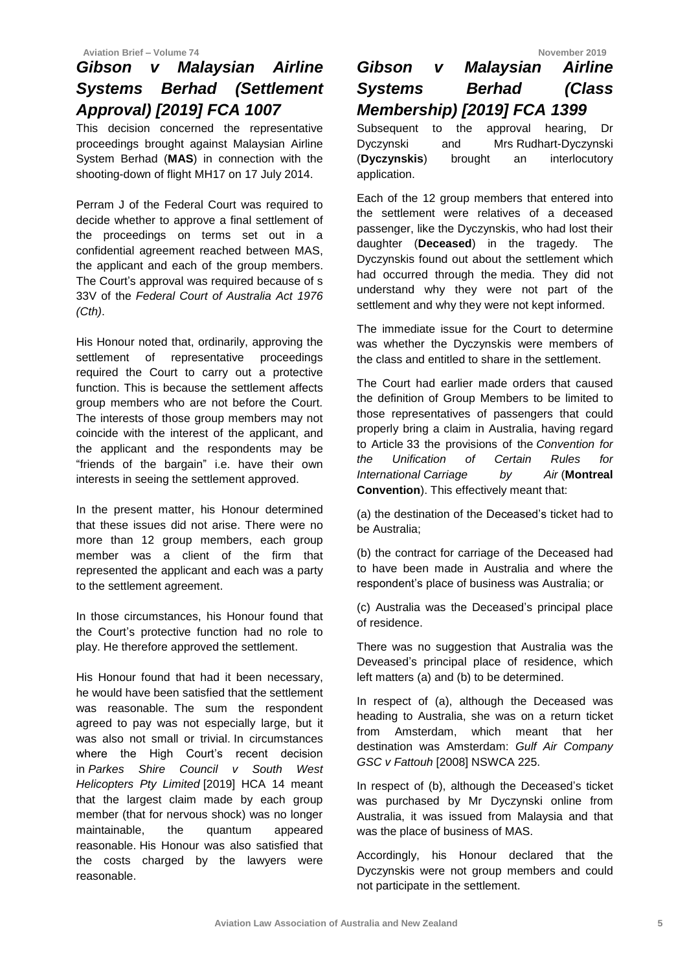**Aviation Brief – Volume 74 November 2019**

## *Gibson v Malaysian Airline Systems Berhad (Settlement Approval) [2019] FCA 1007*

This decision concerned the representative proceedings brought against Malaysian Airline System Berhad (**MAS**) in connection with the shooting-down of flight MH17 on 17 July 2014.

Perram J of the Federal Court was required to decide whether to approve a final settlement of the proceedings on terms set out in a confidential agreement reached between MAS, the applicant and each of the group members. The Court's approval was required because of s 33V of the *Federal Court of Australia Act 1976 (Cth)*.

His Honour noted that, ordinarily, approving the settlement of representative proceedings required the Court to carry out a protective function. This is because the settlement affects group members who are not before the Court. The interests of those group members may not coincide with the interest of the applicant, and the applicant and the respondents may be "friends of the bargain" i.e. have their own interests in seeing the settlement approved.

In the present matter, his Honour determined that these issues did not arise. There were no more than 12 group members, each group member was a client of the firm that represented the applicant and each was a party to the settlement agreement.

In those circumstances, his Honour found that the Court's protective function had no role to play. He therefore approved the settlement.

His Honour found that had it been necessary, he would have been satisfied that the settlement was reasonable. The sum the respondent agreed to pay was not especially large, but it was also not small or trivial. In circumstances where the High Court's recent decision in *Parkes Shire Council v South West Helicopters Pty Limited* [2019] HCA 14 meant that the largest claim made by each group member (that for nervous shock) was no longer maintainable, the quantum appeared reasonable. His Honour was also satisfied that the costs charged by the lawyers were reasonable.

## *Gibson v Malaysian Airline Systems Berhad (Class Membership) [2019] FCA 1399*

Subsequent to the approval hearing, Dr Dyczynski and Mrs Rudhart-Dyczynski (**Dyczynskis**) brought an interlocutory application.

Each of the 12 group members that entered into the settlement were relatives of a deceased passenger, like the Dyczynskis, who had lost their daughter (**Deceased**) in the tragedy. The Dyczynskis found out about the settlement which had occurred through the media. They did not understand why they were not part of the settlement and why they were not kept informed.

The immediate issue for the Court to determine was whether the Dyczynskis were members of the class and entitled to share in the settlement.

The Court had earlier made orders that caused the definition of Group Members to be limited to those representatives of passengers that could properly bring a claim in Australia, having regard to Article 33 the provisions of the *Convention for the Unification of Certain Rules for International Carriage by Air* (**Montreal Convention**). This effectively meant that:

(a) the destination of the Deceased's ticket had to be Australia;

(b) the contract for carriage of the Deceased had to have been made in Australia and where the respondent's place of business was Australia; or

(c) Australia was the Deceased's principal place of residence.

There was no suggestion that Australia was the Deveased's principal place of residence, which left matters (a) and (b) to be determined.

In respect of (a), although the Deceased was heading to Australia, she was on a return ticket from Amsterdam, which meant that her destination was Amsterdam: *Gulf Air Company GSC v Fattouh* [2008] NSWCA 225.

In respect of (b), although the Deceased's ticket was purchased by Mr Dyczynski online from Australia, it was issued from Malaysia and that was the place of business of MAS.

Accordingly, his Honour declared that the Dyczynskis were not group members and could not participate in the settlement.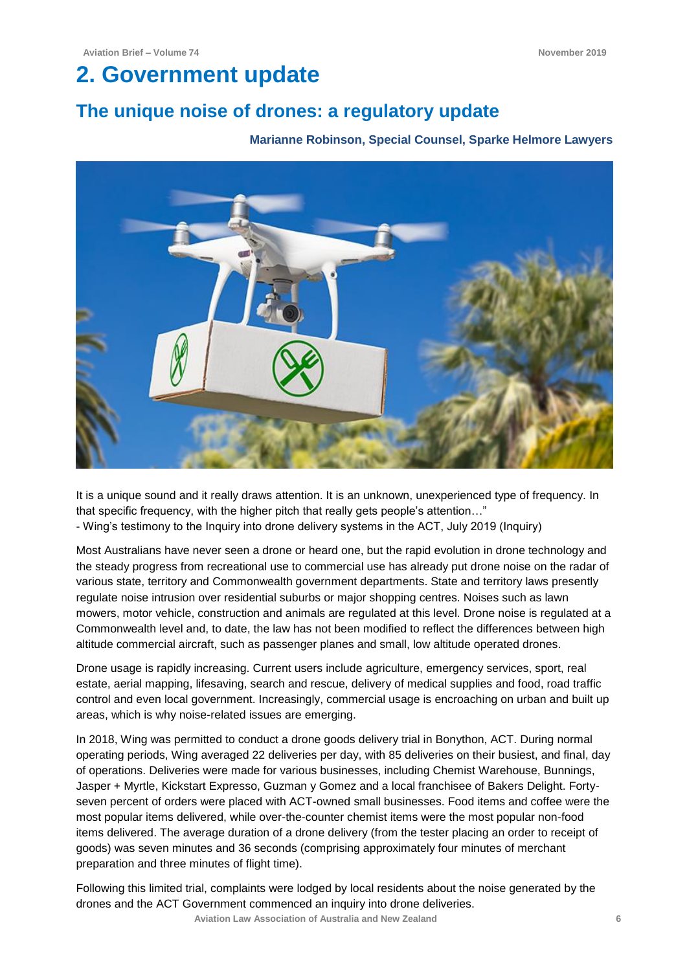## **2. Government update**

## **The unique noise of drones: a regulatory update**

#### **Marianne Robinson, Special Counsel, Sparke Helmore Lawyers**



It is a unique sound and it really draws attention. It is an unknown, unexperienced type of frequency. In that specific frequency, with the higher pitch that really gets people's attention…" - Wing's testimony to the Inquiry into drone delivery systems in the ACT, July 2019 (Inquiry)

Most Australians have never seen a drone or heard one, but the rapid evolution in drone technology and the steady progress from recreational use to commercial use has already put drone noise on the radar of various state, territory and Commonwealth government departments. State and territory laws presently regulate noise intrusion over residential suburbs or major shopping centres. Noises such as lawn mowers, motor vehicle, construction and animals are regulated at this level. Drone noise is regulated at a Commonwealth level and, to date, the law has not been modified to reflect the differences between high altitude commercial aircraft, such as passenger planes and small, low altitude operated drones.

Drone usage is rapidly increasing. Current users include agriculture, emergency services, sport, real estate, aerial mapping, lifesaving, search and rescue, delivery of medical supplies and food, road traffic control and even local government. Increasingly, commercial usage is encroaching on urban and built up areas, which is why noise-related issues are emerging.

In 2018, Wing was permitted to conduct a drone goods delivery trial in Bonython, ACT. During normal operating periods, Wing averaged 22 deliveries per day, with 85 deliveries on their busiest, and final, day of operations. Deliveries were made for various businesses, including Chemist Warehouse, Bunnings, Jasper + Myrtle, Kickstart Expresso, Guzman y Gomez and a local franchisee of Bakers Delight. Fortyseven percent of orders were placed with ACT-owned small businesses. Food items and coffee were the most popular items delivered, while over-the-counter chemist items were the most popular non-food items delivered. The average duration of a drone delivery (from the tester placing an order to receipt of goods) was seven minutes and 36 seconds (comprising approximately four minutes of merchant preparation and three minutes of flight time).

Following this limited trial, complaints were lodged by local residents about the noise generated by the drones and the ACT Government commenced an inquiry into drone deliveries.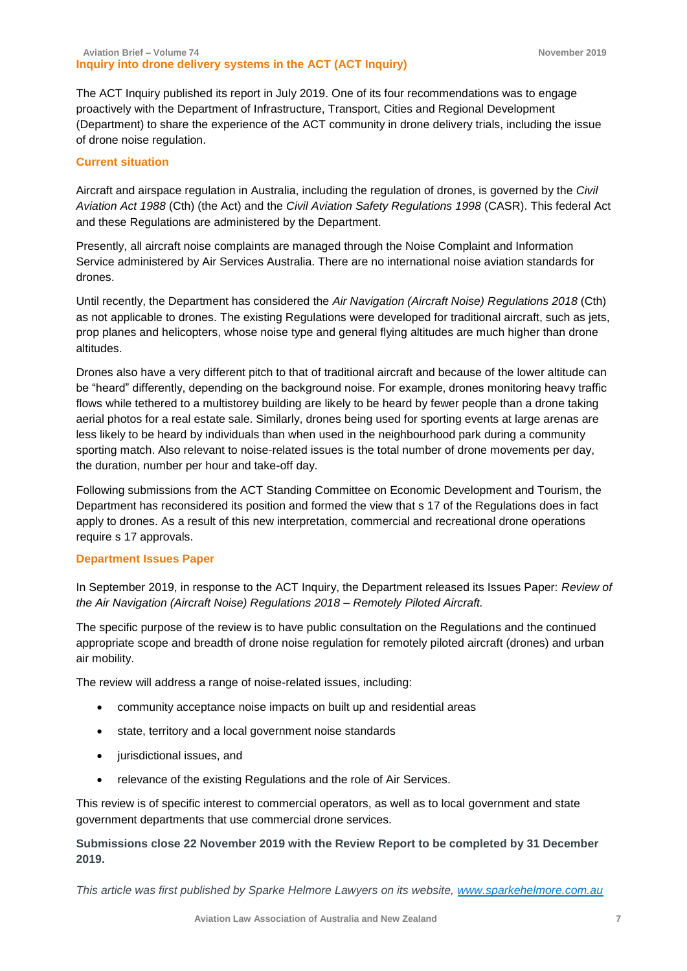The ACT Inquiry published its report in July 2019. One of its four recommendations was to engage proactively with the Department of Infrastructure, Transport, Cities and Regional Development (Department) to share the experience of the ACT community in drone delivery trials, including the issue of drone noise regulation.

#### **Current situation**

Aircraft and airspace regulation in Australia, including the regulation of drones, is governed by the *Civil Aviation Act 1988* (Cth) (the Act) and the *Civil Aviation Safety Regulations 1998* (CASR). This federal Act and these Regulations are administered by the Department.

Presently, all aircraft noise complaints are managed through the Noise Complaint and Information Service administered by Air Services Australia. There are no international noise aviation standards for drones.

Until recently, the Department has considered the *Air Navigation (Aircraft Noise) Regulations 2018* (Cth) as not applicable to drones. The existing Regulations were developed for traditional aircraft, such as jets, prop planes and helicopters, whose noise type and general flying altitudes are much higher than drone altitudes.

Drones also have a very different pitch to that of traditional aircraft and because of the lower altitude can be "heard" differently, depending on the background noise. For example, drones monitoring heavy traffic flows while tethered to a multistorey building are likely to be heard by fewer people than a drone taking aerial photos for a real estate sale. Similarly, drones being used for sporting events at large arenas are less likely to be heard by individuals than when used in the neighbourhood park during a community sporting match. Also relevant to noise-related issues is the total number of drone movements per day, the duration, number per hour and take-off day.

Following submissions from the ACT Standing Committee on Economic Development and Tourism, the Department has reconsidered its position and formed the view that s 17 of the Regulations does in fact apply to drones. As a result of this new interpretation, commercial and recreational drone operations require s 17 approvals.

#### **Department Issues Paper**

In September 2019, in response to the ACT Inquiry, the Department released its Issues Paper: *Review of the Air Navigation (Aircraft Noise) Regulations 2018 – Remotely Piloted Aircraft.*

The specific purpose of the review is to have public consultation on the Regulations and the continued appropriate scope and breadth of drone noise regulation for remotely piloted aircraft (drones) and urban air mobility.

The review will address a range of noise-related issues, including:

- community acceptance noise impacts on built up and residential areas
- state, territory and a local government noise standards
- jurisdictional issues, and
- relevance of the existing Regulations and the role of Air Services.

This review is of specific interest to commercial operators, as well as to local government and state government departments that use commercial drone services.

**Submissions close 22 November 2019 with the Review Report to be completed by 31 December 2019.**

*This article was first published by Sparke Helmore Lawyers on its website, [www.sparkehelmore.com.au](http://www.sparkehelmore.com.au/)*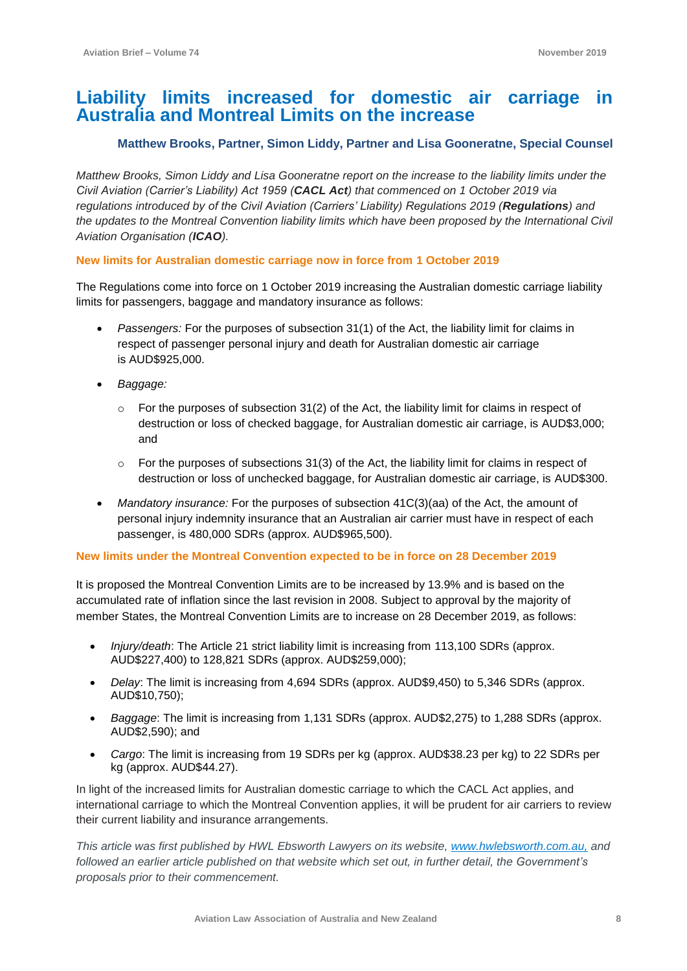## **Liability limits increased for domestic air carriage in Australia and Montreal Limits on the increase**

#### **Matthew Brooks, Partner, Simon Liddy, Partner and Lisa Gooneratne, Special Counsel**

*Matthew Brooks, Simon Liddy and Lisa Gooneratne report on the increase to the liability limits under the Civil Aviation (Carrier's Liability) Act 1959 (CACL Act) that commenced on 1 October 2019 via regulations introduced by of the Civil Aviation (Carriers' Liability) Regulations 2019 (Regulations) and the updates to the Montreal Convention liability limits which have been proposed by the International Civil Aviation Organisation (ICAO).*

#### **New limits for Australian domestic carriage now in force from 1 October 2019**

The Regulations come into force on 1 October 2019 increasing the Australian domestic carriage liability limits for passengers, baggage and mandatory insurance as follows:

- *Passengers:* For the purposes of subsection 31(1) of the Act, the liability limit for claims in respect of passenger personal injury and death for Australian domestic air carriage is AUD\$925,000.
- *Baggage:* 
	- $\circ$  For the purposes of subsection 31(2) of the Act, the liability limit for claims in respect of destruction or loss of checked baggage, for Australian domestic air carriage, is AUD\$3,000; and
	- $\circ$  For the purposes of subsections 31(3) of the Act, the liability limit for claims in respect of destruction or loss of unchecked baggage, for Australian domestic air carriage, is AUD\$300.
- *Mandatory insurance:* For the purposes of subsection 41C(3)(aa) of the Act, the amount of personal injury indemnity insurance that an Australian air carrier must have in respect of each passenger, is 480,000 SDRs (approx. AUD\$965,500).

#### **New limits under the Montreal Convention expected to be in force on 28 December 2019**

It is proposed the Montreal Convention Limits are to be increased by 13.9% and is based on the accumulated rate of inflation since the last revision in 2008. Subject to approval by the majority of member States, the Montreal Convention Limits are to increase on 28 December 2019, as follows:

- *Injury/death*: The Article 21 strict liability limit is increasing from 113,100 SDRs (approx. AUD\$227,400) to 128,821 SDRs (approx. AUD\$259,000);
- *Delay*: The limit is increasing from 4,694 SDRs (approx. AUD\$9,450) to 5,346 SDRs (approx. AUD\$10,750);
- *Baggage*: The limit is increasing from 1,131 SDRs (approx. AUD\$2,275) to 1,288 SDRs (approx. AUD\$2,590); and
- *Cargo*: The limit is increasing from 19 SDRs per kg (approx. AUD\$38.23 per kg) to 22 SDRs per kg (approx. AUD\$44.27).

In light of the increased limits for Australian domestic carriage to which the CACL Act applies, and international carriage to which the Montreal Convention applies, it will be prudent for air carriers to review their current liability and insurance arrangements.

*This article was first published by HWL Ebsworth Lawyers on its website, [www.hwlebsworth.com.au,](http://www.hwlebsworth.com.au/) and followed an earlier article published on that website which set out, in further detail, the Government's proposals prior to their commencement.*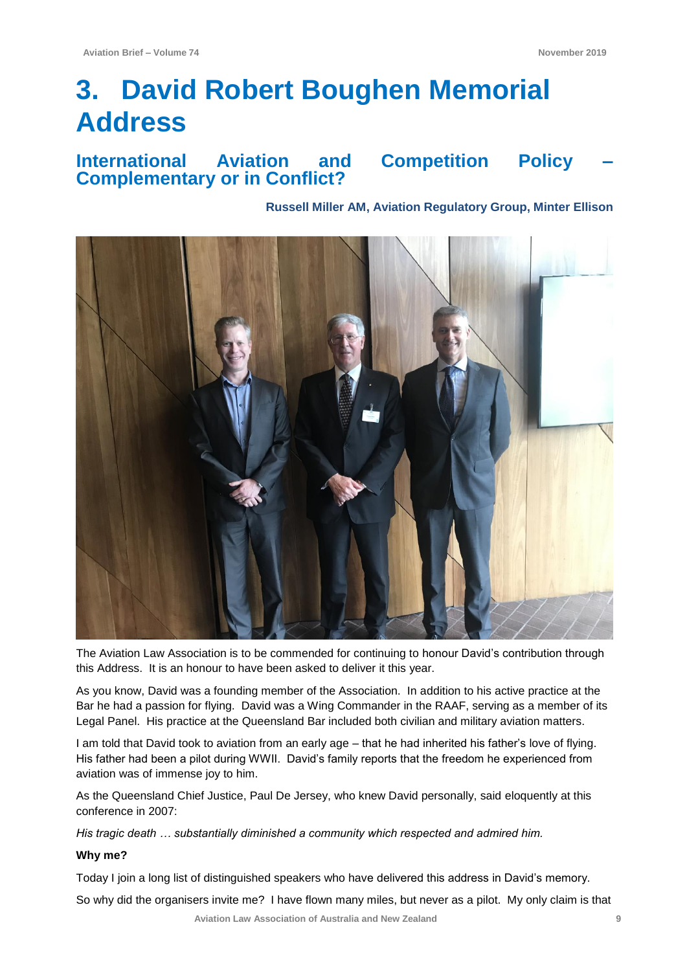# **3. David Robert Boughen Memorial Address**

### **International Aviation and Competition Policy – Complementary or in Conflict?**

#### **Russell Miller AM, Aviation Regulatory Group, Minter Ellison**



The Aviation Law Association is to be commended for continuing to honour David's contribution through this Address. It is an honour to have been asked to deliver it this year.

As you know, David was a founding member of the Association. In addition to his active practice at the Bar he had a passion for flying. David was a Wing Commander in the RAAF, serving as a member of its Legal Panel. His practice at the Queensland Bar included both civilian and military aviation matters.

I am told that David took to aviation from an early age – that he had inherited his father's love of flying. His father had been a pilot during WWII. David's family reports that the freedom he experienced from aviation was of immense joy to him.

As the Queensland Chief Justice, Paul De Jersey, who knew David personally, said eloquently at this conference in 2007:

*His tragic death … substantially diminished a community which respected and admired him.*

#### **Why me?**

Today I join a long list of distinguished speakers who have delivered this address in David's memory.

So why did the organisers invite me? I have flown many miles, but never as a pilot. My only claim is that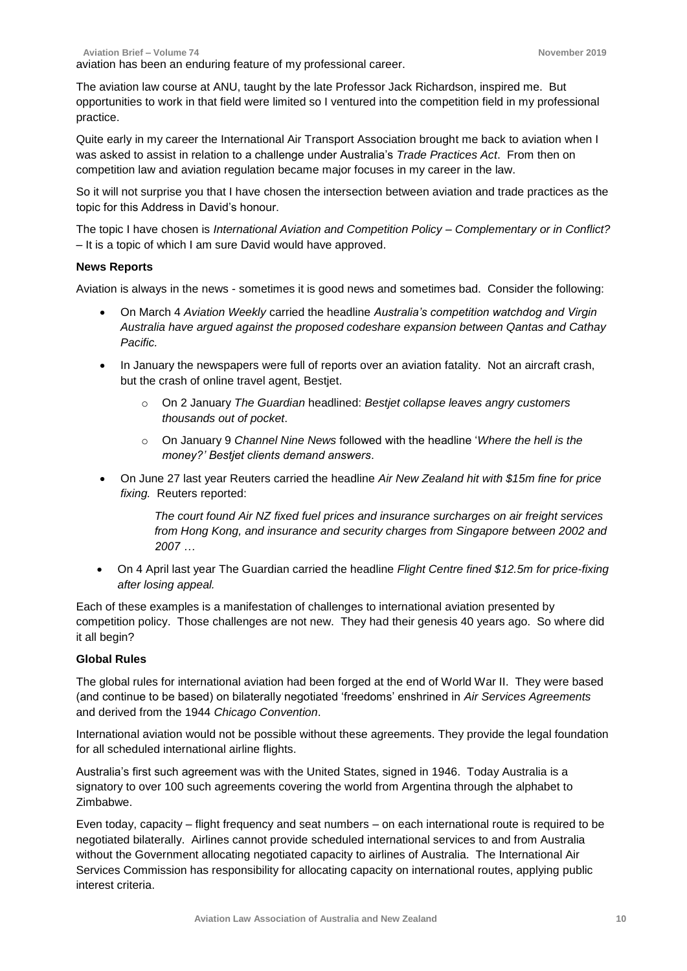The aviation law course at ANU, taught by the late Professor Jack Richardson, inspired me. But opportunities to work in that field were limited so I ventured into the competition field in my professional practice.

Quite early in my career the International Air Transport Association brought me back to aviation when I was asked to assist in relation to a challenge under Australia's *Trade Practices Act*. From then on competition law and aviation regulation became major focuses in my career in the law.

So it will not surprise you that I have chosen the intersection between aviation and trade practices as the topic for this Address in David's honour.

The topic I have chosen is *International Aviation and Competition Policy – Complementary or in Conflict?* – It is a topic of which I am sure David would have approved.

#### **News Reports**

Aviation is always in the news - sometimes it is good news and sometimes bad. Consider the following:

- On March 4 *Aviation Weekly* carried the headline *Australia's competition watchdog and Virgin Australia have argued against the proposed codeshare expansion between Qantas and Cathay Pacific.*
- In January the newspapers were full of reports over an aviation fatality. Not an aircraft crash, but the crash of online travel agent, Bestjet.
	- o On 2 January *The Guardian* headlined: *Bestjet collapse leaves angry customers thousands out of pocket*.
	- o On January 9 *Channel Nine News* followed with the headline '*Where the hell is the money?' Bestjet clients demand answers*.
- On June 27 last year Reuters carried the headline *Air New Zealand hit with \$15m fine for price fixing.* Reuters reported:

*The court found Air NZ fixed fuel prices and insurance surcharges on air freight services from Hong Kong, and insurance and security charges from Singapore between 2002 and 2007 …*

• On 4 April last year The Guardian carried the headline *Flight Centre fined \$12.5m for price-fixing after losing appeal.*

Each of these examples is a manifestation of challenges to international aviation presented by competition policy. Those challenges are not new. They had their genesis 40 years ago. So where did it all begin?

#### **Global Rules**

The global rules for international aviation had been forged at the end of World War II. They were based (and continue to be based) on bilaterally negotiated 'freedoms' enshrined in *Air Services Agreements* and derived from the 1944 *Chicago Convention*.

International aviation would not be possible without these agreements. They provide the legal foundation for all scheduled international airline flights.

Australia's first such agreement was with the United States, signed in 1946. Today Australia is a signatory to over 100 such agreements covering the world from Argentina through the alphabet to Zimbabwe.

Even today, capacity – flight frequency and seat numbers – on each international route is required to be negotiated bilaterally. Airlines cannot provide scheduled international services to and from Australia without the Government allocating negotiated capacity to airlines of Australia. The International Air Services Commission has responsibility for allocating capacity on international routes, applying public interest criteria.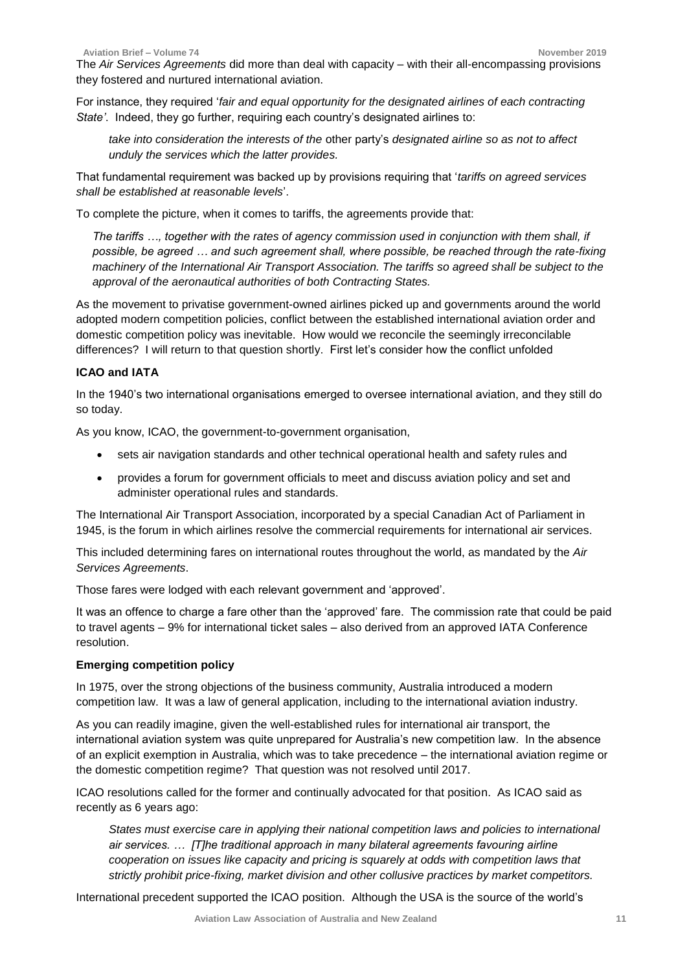The *Air Services Agreements* did more than deal with capacity – with their all-encompassing provisions they fostered and nurtured international aviation.

For instance, they required '*fair and equal opportunity for the designated airlines of each contracting State'*. Indeed, they go further, requiring each country's designated airlines to:

*take into consideration the interests of the* other party's *designated airline so as not to affect unduly the services which the latter provides.*

That fundamental requirement was backed up by provisions requiring that '*tariffs on agreed services shall be established at reasonable levels*'.

To complete the picture, when it comes to tariffs, the agreements provide that:

*The tariffs …, together with the rates of agency commission used in conjunction with them shall, if possible, be agreed … and such agreement shall, where possible, be reached through the rate-fixing machinery of the International Air Transport Association. The tariffs so agreed shall be subject to the approval of the aeronautical authorities of both Contracting States.*

As the movement to privatise government-owned airlines picked up and governments around the world adopted modern competition policies, conflict between the established international aviation order and domestic competition policy was inevitable. How would we reconcile the seemingly irreconcilable differences? I will return to that question shortly. First let's consider how the conflict unfolded

#### **ICAO and IATA**

In the 1940's two international organisations emerged to oversee international aviation, and they still do so today.

As you know, ICAO, the government-to-government organisation,

- sets air navigation standards and other technical operational health and safety rules and
- provides a forum for government officials to meet and discuss aviation policy and set and administer operational rules and standards.

The International Air Transport Association, incorporated by a special Canadian Act of Parliament in 1945, is the forum in which airlines resolve the commercial requirements for international air services.

This included determining fares on international routes throughout the world, as mandated by the *Air Services Agreements*.

Those fares were lodged with each relevant government and 'approved'.

It was an offence to charge a fare other than the 'approved' fare. The commission rate that could be paid to travel agents – 9% for international ticket sales – also derived from an approved IATA Conference resolution.

#### **Emerging competition policy**

In 1975, over the strong objections of the business community, Australia introduced a modern competition law. It was a law of general application, including to the international aviation industry.

As you can readily imagine, given the well-established rules for international air transport, the international aviation system was quite unprepared for Australia's new competition law. In the absence of an explicit exemption in Australia, which was to take precedence – the international aviation regime or the domestic competition regime? That question was not resolved until 2017.

ICAO resolutions called for the former and continually advocated for that position. As ICAO said as recently as 6 years ago:

*States must exercise care in applying their national competition laws and policies to international air services. … [T]he traditional approach in many bilateral agreements favouring airline cooperation on issues like capacity and pricing is squarely at odds with competition laws that strictly prohibit price-fixing, market division and other collusive practices by market competitors.*

International precedent supported the ICAO position. Although the USA is the source of the world's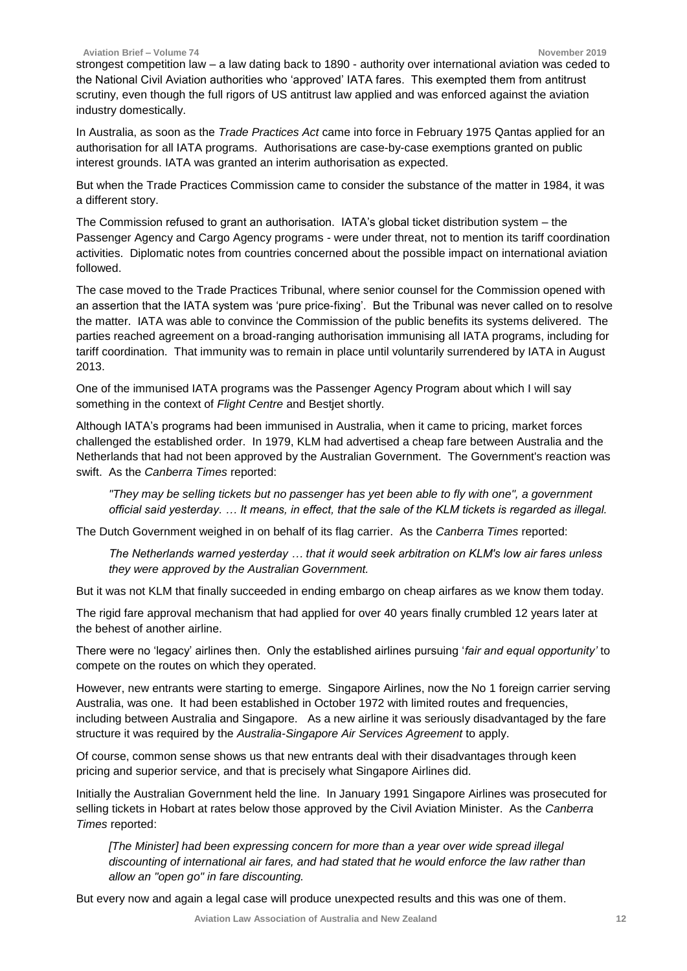strongest competition law – a law dating back to 1890 - authority over international aviation was ceded to the National Civil Aviation authorities who 'approved' IATA fares. This exempted them from antitrust scrutiny, even though the full rigors of US antitrust law applied and was enforced against the aviation industry domestically.

In Australia, as soon as the *Trade Practices Act* came into force in February 1975 Qantas applied for an authorisation for all IATA programs. Authorisations are case-by-case exemptions granted on public interest grounds. IATA was granted an interim authorisation as expected.

But when the Trade Practices Commission came to consider the substance of the matter in 1984, it was a different story.

The Commission refused to grant an authorisation. IATA's global ticket distribution system – the Passenger Agency and Cargo Agency programs - were under threat, not to mention its tariff coordination activities. Diplomatic notes from countries concerned about the possible impact on international aviation followed.

The case moved to the Trade Practices Tribunal, where senior counsel for the Commission opened with an assertion that the IATA system was 'pure price-fixing'. But the Tribunal was never called on to resolve the matter. IATA was able to convince the Commission of the public benefits its systems delivered. The parties reached agreement on a broad-ranging authorisation immunising all IATA programs, including for tariff coordination. That immunity was to remain in place until voluntarily surrendered by IATA in August 2013.

One of the immunised IATA programs was the Passenger Agency Program about which I will say something in the context of *Flight Centre* and Bestjet shortly.

Although IATA's programs had been immunised in Australia, when it came to pricing, market forces challenged the established order. In 1979, KLM had advertised a cheap fare between Australia and the Netherlands that had not been approved by the Australian Government. The Government's reaction was swift. As the *Canberra Times* reported:

*"They may be selling tickets but no passenger has yet been able to fly with one", a government official said yesterday. … It means, in effect, that the sale of the KLM tickets is regarded as illegal.*

The Dutch Government weighed in on behalf of its flag carrier. As the *Canberra Times* reported:

*The Netherlands warned yesterday … that it would seek arbitration on KLM's low air fares unless they were approved by the Australian Government.* 

But it was not KLM that finally succeeded in ending embargo on cheap airfares as we know them today.

The rigid fare approval mechanism that had applied for over 40 years finally crumbled 12 years later at the behest of another airline.

There were no 'legacy' airlines then. Only the established airlines pursuing '*fair and equal opportunity'* to compete on the routes on which they operated.

However, new entrants were starting to emerge. Singapore Airlines, now the No 1 foreign carrier serving Australia, was one. It had been established in October 1972 with limited routes and frequencies, including between Australia and Singapore. As a new airline it was seriously disadvantaged by the fare structure it was required by the *Australia-Singapore Air Services Agreement* to apply.

Of course, common sense shows us that new entrants deal with their disadvantages through keen pricing and superior service, and that is precisely what Singapore Airlines did.

Initially the Australian Government held the line. In January 1991 Singapore Airlines was prosecuted for selling tickets in Hobart at rates below those approved by the Civil Aviation Minister. As the *Canberra Times* reported:

*[The Minister] had been expressing concern for more than a year over wide spread illegal discounting of international air fares, and had stated that he would enforce the law rather than allow an "open go" in fare discounting.*

But every now and again a legal case will produce unexpected results and this was one of them.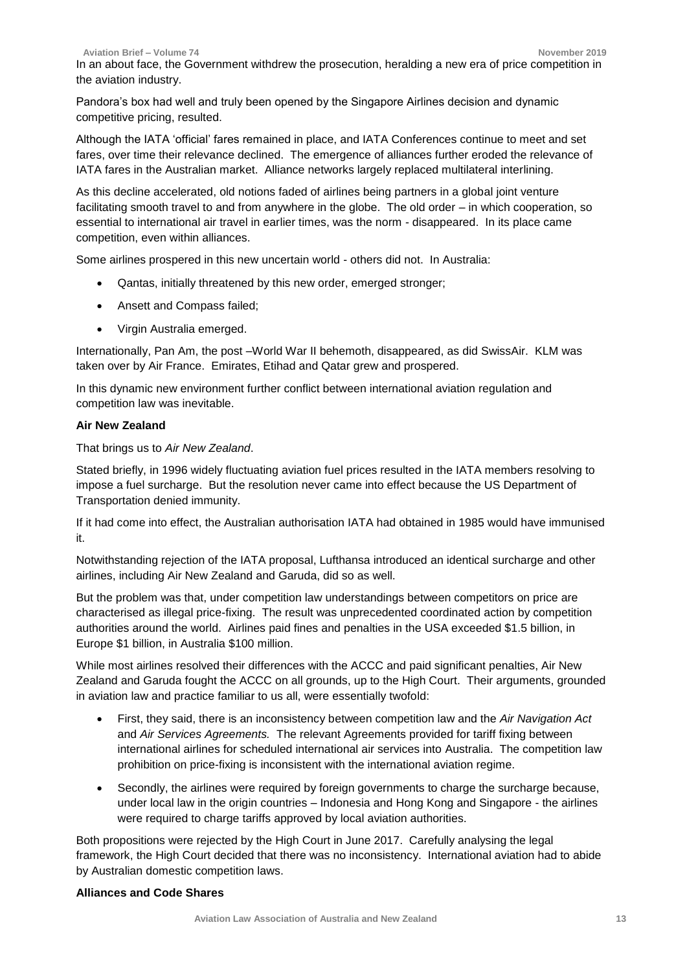In an about face, the Government withdrew the prosecution, heralding a new era of price competition in the aviation industry.

Pandora's box had well and truly been opened by the Singapore Airlines decision and dynamic competitive pricing, resulted.

Although the IATA 'official' fares remained in place, and IATA Conferences continue to meet and set fares, over time their relevance declined. The emergence of alliances further eroded the relevance of IATA fares in the Australian market. Alliance networks largely replaced multilateral interlining.

As this decline accelerated, old notions faded of airlines being partners in a global joint venture facilitating smooth travel to and from anywhere in the globe. The old order – in which cooperation, so essential to international air travel in earlier times, was the norm - disappeared. In its place came competition, even within alliances.

Some airlines prospered in this new uncertain world - others did not. In Australia:

- Qantas, initially threatened by this new order, emerged stronger;
- Ansett and Compass failed;
- Virgin Australia emerged.

Internationally, Pan Am, the post –World War II behemoth, disappeared, as did SwissAir. KLM was taken over by Air France. Emirates, Etihad and Qatar grew and prospered.

In this dynamic new environment further conflict between international aviation regulation and competition law was inevitable.

#### **Air New Zealand**

That brings us to *Air New Zealand*.

Stated briefly, in 1996 widely fluctuating aviation fuel prices resulted in the IATA members resolving to impose a fuel surcharge. But the resolution never came into effect because the US Department of Transportation denied immunity.

If it had come into effect, the Australian authorisation IATA had obtained in 1985 would have immunised it.

Notwithstanding rejection of the IATA proposal, Lufthansa introduced an identical surcharge and other airlines, including Air New Zealand and Garuda, did so as well.

But the problem was that, under competition law understandings between competitors on price are characterised as illegal price-fixing. The result was unprecedented coordinated action by competition authorities around the world. Airlines paid fines and penalties in the USA exceeded \$1.5 billion, in Europe \$1 billion, in Australia \$100 million.

While most airlines resolved their differences with the ACCC and paid significant penalties, Air New Zealand and Garuda fought the ACCC on all grounds, up to the High Court. Their arguments, grounded in aviation law and practice familiar to us all, were essentially twofold:

- First, they said, there is an inconsistency between competition law and the *Air Navigation Act*  and *Air Services Agreements.* The relevant Agreements provided for tariff fixing between international airlines for scheduled international air services into Australia. The competition law prohibition on price-fixing is inconsistent with the international aviation regime.
- Secondly, the airlines were required by foreign governments to charge the surcharge because, under local law in the origin countries – Indonesia and Hong Kong and Singapore - the airlines were required to charge tariffs approved by local aviation authorities.

Both propositions were rejected by the High Court in June 2017. Carefully analysing the legal framework, the High Court decided that there was no inconsistency. International aviation had to abide by Australian domestic competition laws.

#### **Alliances and Code Shares**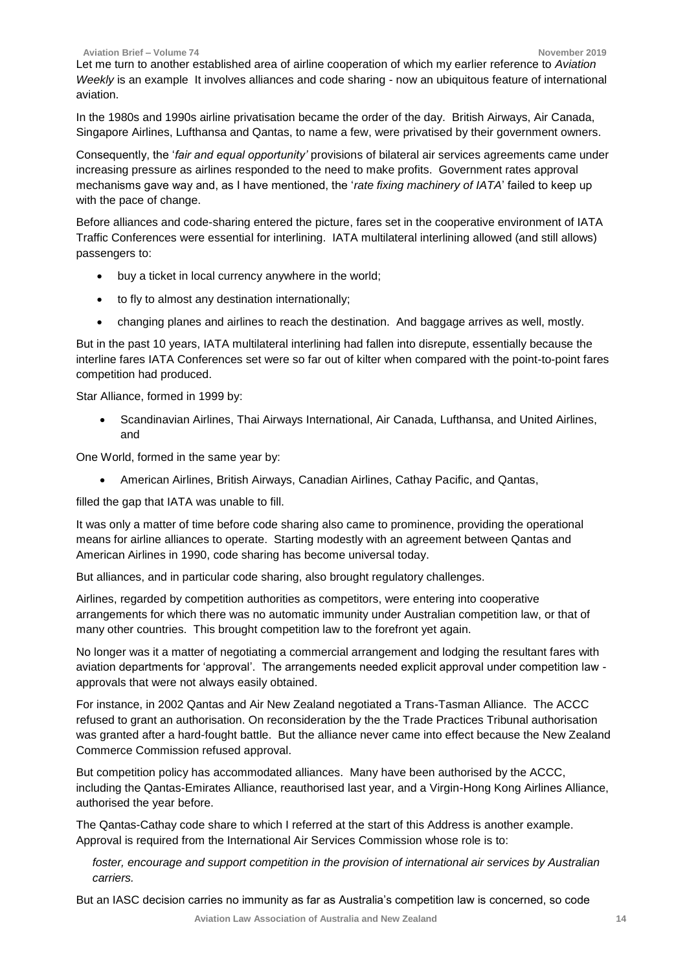Let me turn to another established area of airline cooperation of which my earlier reference to *Aviation Weekly* is an example It involves alliances and code sharing - now an ubiquitous feature of international aviation.

In the 1980s and 1990s airline privatisation became the order of the day. British Airways, Air Canada, Singapore Airlines, Lufthansa and Qantas, to name a few, were privatised by their government owners.

Consequently, the '*fair and equal opportunity'* provisions of bilateral air services agreements came under increasing pressure as airlines responded to the need to make profits. Government rates approval mechanisms gave way and, as I have mentioned, the '*rate fixing machinery of IATA*' failed to keep up with the pace of change.

Before alliances and code-sharing entered the picture, fares set in the cooperative environment of IATA Traffic Conferences were essential for interlining. IATA multilateral interlining allowed (and still allows) passengers to:

- buy a ticket in local currency anywhere in the world;
- to fly to almost any destination internationally:
- changing planes and airlines to reach the destination. And baggage arrives as well, mostly.

But in the past 10 years, IATA multilateral interlining had fallen into disrepute, essentially because the interline fares IATA Conferences set were so far out of kilter when compared with the point-to-point fares competition had produced.

Star Alliance, formed in 1999 by:

• Scandinavian Airlines, Thai Airways International, Air Canada, Lufthansa, and United Airlines, and

One World, formed in the same year by:

• American Airlines, British Airways, Canadian Airlines, Cathay Pacific, and Qantas,

filled the gap that IATA was unable to fill.

It was only a matter of time before code sharing also came to prominence, providing the operational means for airline alliances to operate. Starting modestly with an agreement between Qantas and American Airlines in 1990, code sharing has become universal today.

But alliances, and in particular code sharing, also brought regulatory challenges.

Airlines, regarded by competition authorities as competitors, were entering into cooperative arrangements for which there was no automatic immunity under Australian competition law, or that of many other countries. This brought competition law to the forefront yet again.

No longer was it a matter of negotiating a commercial arrangement and lodging the resultant fares with aviation departments for 'approval'. The arrangements needed explicit approval under competition law approvals that were not always easily obtained.

For instance, in 2002 Qantas and Air New Zealand negotiated a Trans-Tasman Alliance. The ACCC refused to grant an authorisation. On reconsideration by the the Trade Practices Tribunal authorisation was granted after a hard-fought battle. But the alliance never came into effect because the New Zealand Commerce Commission refused approval.

But competition policy has accommodated alliances. Many have been authorised by the ACCC, including the Qantas-Emirates Alliance, reauthorised last year, and a Virgin-Hong Kong Airlines Alliance, authorised the year before.

The Qantas-Cathay code share to which I referred at the start of this Address is another example. Approval is required from the International Air Services Commission whose role is to:

*foster, encourage and support competition in the provision of international air services by Australian carriers.* 

But an IASC decision carries no immunity as far as Australia's competition law is concerned, so code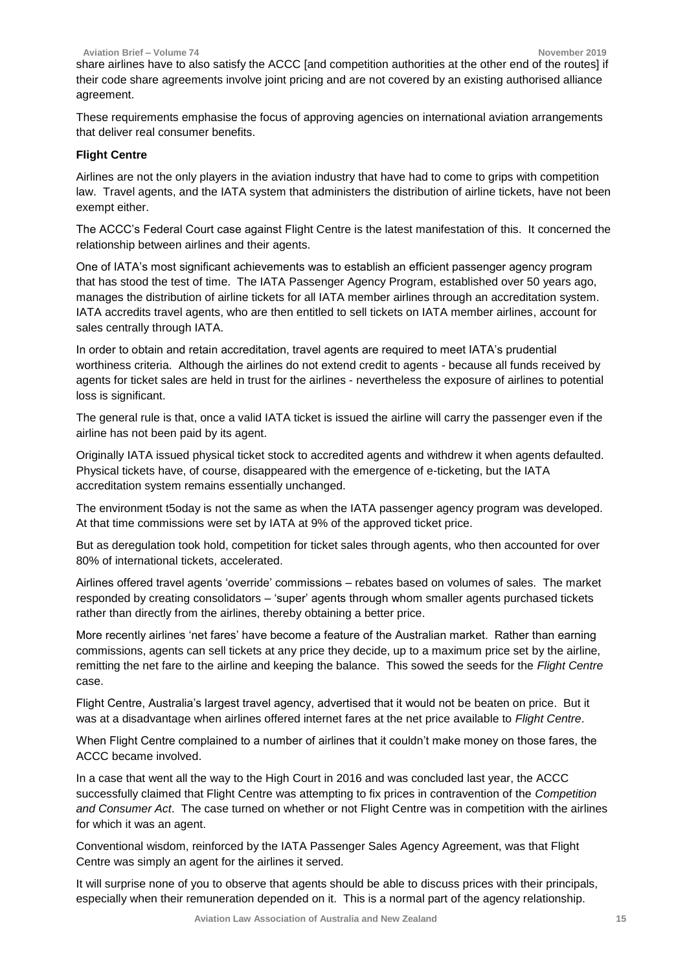share airlines have to also satisfy the ACCC [and competition authorities at the other end of the routes] if their code share agreements involve joint pricing and are not covered by an existing authorised alliance agreement.

These requirements emphasise the focus of approving agencies on international aviation arrangements that deliver real consumer benefits.

#### **Flight Centre**

Airlines are not the only players in the aviation industry that have had to come to grips with competition law. Travel agents, and the IATA system that administers the distribution of airline tickets, have not been exempt either.

The ACCC's Federal Court case against Flight Centre is the latest manifestation of this. It concerned the relationship between airlines and their agents.

One of IATA's most significant achievements was to establish an efficient passenger agency program that has stood the test of time. The IATA Passenger Agency Program, established over 50 years ago, manages the distribution of airline tickets for all IATA member airlines through an accreditation system. IATA accredits travel agents, who are then entitled to sell tickets on IATA member airlines, account for sales centrally through IATA.

In order to obtain and retain accreditation, travel agents are required to meet IATA's prudential worthiness criteria. Although the airlines do not extend credit to agents - because all funds received by agents for ticket sales are held in trust for the airlines - nevertheless the exposure of airlines to potential loss is significant.

The general rule is that, once a valid IATA ticket is issued the airline will carry the passenger even if the airline has not been paid by its agent.

Originally IATA issued physical ticket stock to accredited agents and withdrew it when agents defaulted. Physical tickets have, of course, disappeared with the emergence of e-ticketing, but the IATA accreditation system remains essentially unchanged.

The environment t5oday is not the same as when the IATA passenger agency program was developed. At that time commissions were set by IATA at 9% of the approved ticket price.

But as deregulation took hold, competition for ticket sales through agents, who then accounted for over 80% of international tickets, accelerated.

Airlines offered travel agents 'override' commissions – rebates based on volumes of sales. The market responded by creating consolidators – 'super' agents through whom smaller agents purchased tickets rather than directly from the airlines, thereby obtaining a better price.

More recently airlines 'net fares' have become a feature of the Australian market. Rather than earning commissions, agents can sell tickets at any price they decide, up to a maximum price set by the airline, remitting the net fare to the airline and keeping the balance. This sowed the seeds for the *Flight Centre* case.

Flight Centre, Australia's largest travel agency, advertised that it would not be beaten on price. But it was at a disadvantage when airlines offered internet fares at the net price available to *Flight Centre*.

When Flight Centre complained to a number of airlines that it couldn't make money on those fares, the ACCC became involved.

In a case that went all the way to the High Court in 2016 and was concluded last year, the ACCC successfully claimed that Flight Centre was attempting to fix prices in contravention of the *Competition and Consumer Act*. The case turned on whether or not Flight Centre was in competition with the airlines for which it was an agent.

Conventional wisdom, reinforced by the IATA Passenger Sales Agency Agreement, was that Flight Centre was simply an agent for the airlines it served.

It will surprise none of you to observe that agents should be able to discuss prices with their principals, especially when their remuneration depended on it. This is a normal part of the agency relationship.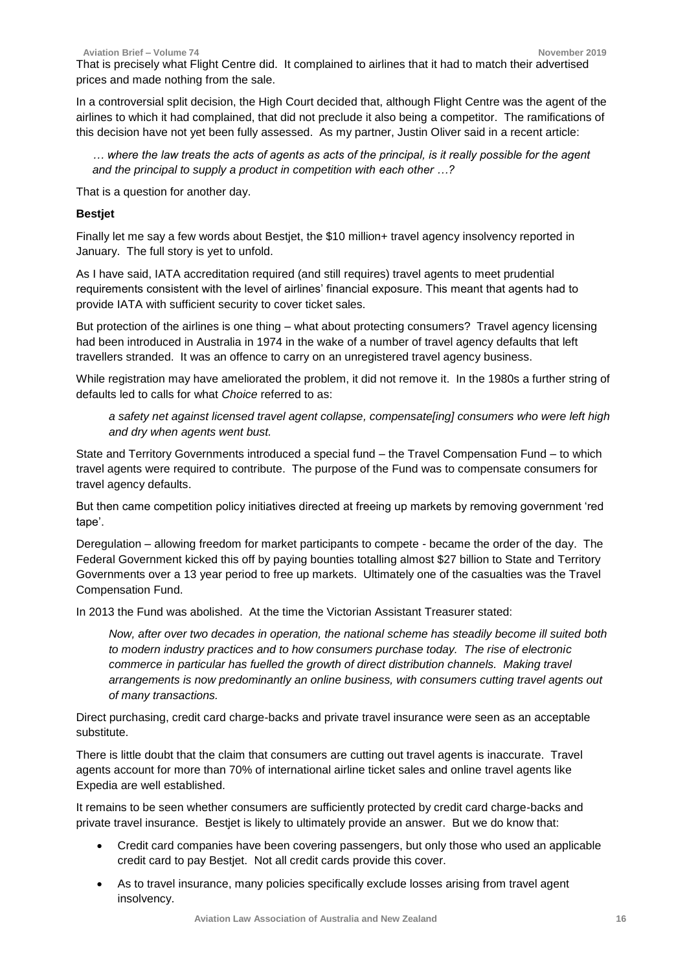That is precisely what Flight Centre did. It complained to airlines that it had to match their advertised prices and made nothing from the sale.

In a controversial split decision, the High Court decided that, although Flight Centre was the agent of the airlines to which it had complained, that did not preclude it also being a competitor. The ramifications of this decision have not yet been fully assessed. As my partner, Justin Oliver said in a recent article:

*… where the law treats the acts of agents as acts of the principal, is it really possible for the agent and the principal to supply a product in competition with each other …?*

That is a question for another day.

#### **Bestjet**

Finally let me say a few words about Bestjet, the \$10 million+ travel agency insolvency reported in January. The full story is yet to unfold.

As I have said, IATA accreditation required (and still requires) travel agents to meet prudential requirements consistent with the level of airlines' financial exposure. This meant that agents had to provide IATA with sufficient security to cover ticket sales.

But protection of the airlines is one thing – what about protecting consumers? Travel agency licensing had been introduced in Australia in 1974 in the wake of a number of travel agency defaults that left travellers stranded. It was an offence to carry on an unregistered travel agency business.

While registration may have ameliorated the problem, it did not remove it. In the 1980s a further string of defaults led to calls for what *Choice* referred to as:

*a safety net against licensed travel agent collapse, compensate[ing] consumers who were left high and dry when agents went bust.* 

State and Territory Governments introduced a special fund – the Travel Compensation Fund – to which travel agents were required to contribute. The purpose of the Fund was to compensate consumers for travel agency defaults.

But then came competition policy initiatives directed at freeing up markets by removing government 'red tape'.

Deregulation – allowing freedom for market participants to compete - became the order of the day. The Federal Government kicked this off by paying bounties totalling almost \$27 billion to State and Territory Governments over a 13 year period to free up markets. Ultimately one of the casualties was the Travel Compensation Fund.

In 2013 the Fund was abolished. At the time the Victorian Assistant Treasurer stated:

*Now, after over two decades in operation, the national scheme has steadily become ill suited both to modern industry practices and to how consumers purchase today. The rise of electronic commerce in particular has fuelled the growth of direct distribution channels. Making travel arrangements is now predominantly an online business, with consumers cutting travel agents out of many transactions.*

Direct purchasing, credit card charge-backs and private travel insurance were seen as an acceptable substitute.

There is little doubt that the claim that consumers are cutting out travel agents is inaccurate. Travel agents account for more than 70% of international airline ticket sales and online travel agents like Expedia are well established.

It remains to be seen whether consumers are sufficiently protected by credit card charge-backs and private travel insurance. Bestjet is likely to ultimately provide an answer. But we do know that:

- Credit card companies have been covering passengers, but only those who used an applicable credit card to pay Bestjet. Not all credit cards provide this cover.
- As to travel insurance, many policies specifically exclude losses arising from travel agent insolvency.